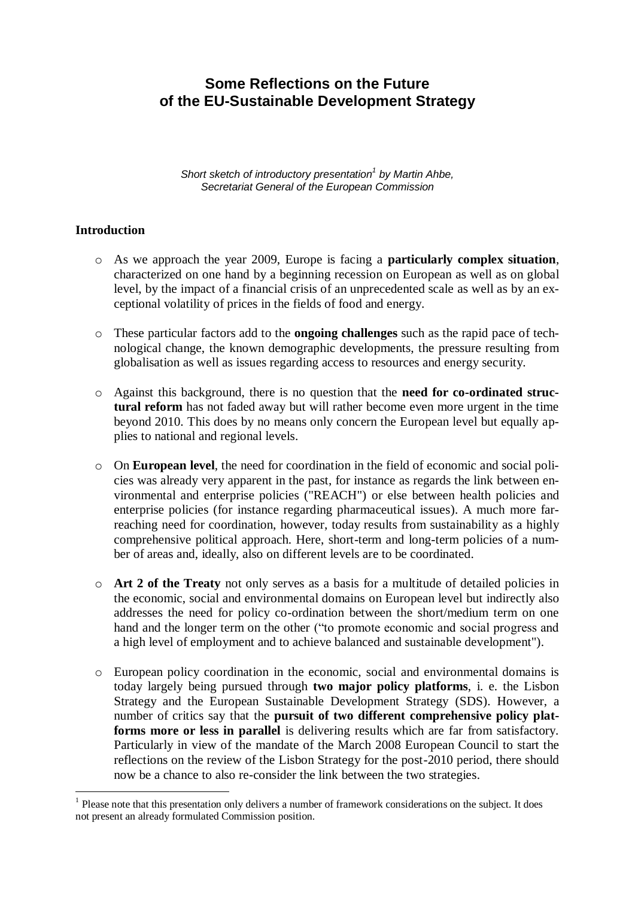# **Some Reflections on the Future of the EU-Sustainable Development Strategy**

*Short sketch of introductory presentation<sup>1</sup> by Martin Ahbe, Secretariat General of the European Commission*

#### **Introduction**

<u>.</u>

- o As we approach the year 2009, Europe is facing a **particularly complex situation**, characterized on one hand by a beginning recession on European as well as on global level, by the impact of a financial crisis of an unprecedented scale as well as by an exceptional volatility of prices in the fields of food and energy.
- o These particular factors add to the **ongoing challenges** such as the rapid pace of technological change, the known demographic developments, the pressure resulting from globalisation as well as issues regarding access to resources and energy security.
- o Against this background, there is no question that the **need for co-ordinated structural reform** has not faded away but will rather become even more urgent in the time beyond 2010. This does by no means only concern the European level but equally applies to national and regional levels.
- o On **European level**, the need for coordination in the field of economic and social policies was already very apparent in the past, for instance as regards the link between environmental and enterprise policies ("REACH") or else between health policies and enterprise policies (for instance regarding pharmaceutical issues). A much more farreaching need for coordination, however, today results from sustainability as a highly comprehensive political approach. Here, short-term and long-term policies of a number of areas and, ideally, also on different levels are to be coordinated.
- o **Art 2 of the Treaty** not only serves as a basis for a multitude of detailed policies in the economic, social and environmental domains on European level but indirectly also addresses the need for policy co-ordination between the short/medium term on one hand and the longer term on the other ("to promote economic and social progress and a high level of employment and to achieve balanced and sustainable development").
- o European policy coordination in the economic, social and environmental domains is today largely being pursued through **two major policy platforms**, i. e. the Lisbon Strategy and the European Sustainable Development Strategy (SDS). However, a number of critics say that the **pursuit of two different comprehensive policy platforms more or less in parallel** is delivering results which are far from satisfactory. Particularly in view of the mandate of the March 2008 European Council to start the reflections on the review of the Lisbon Strategy for the post-2010 period, there should now be a chance to also re-consider the link between the two strategies.

<sup>&</sup>lt;sup>1</sup> Please note that this presentation only delivers a number of framework considerations on the subject. It does not present an already formulated Commission position.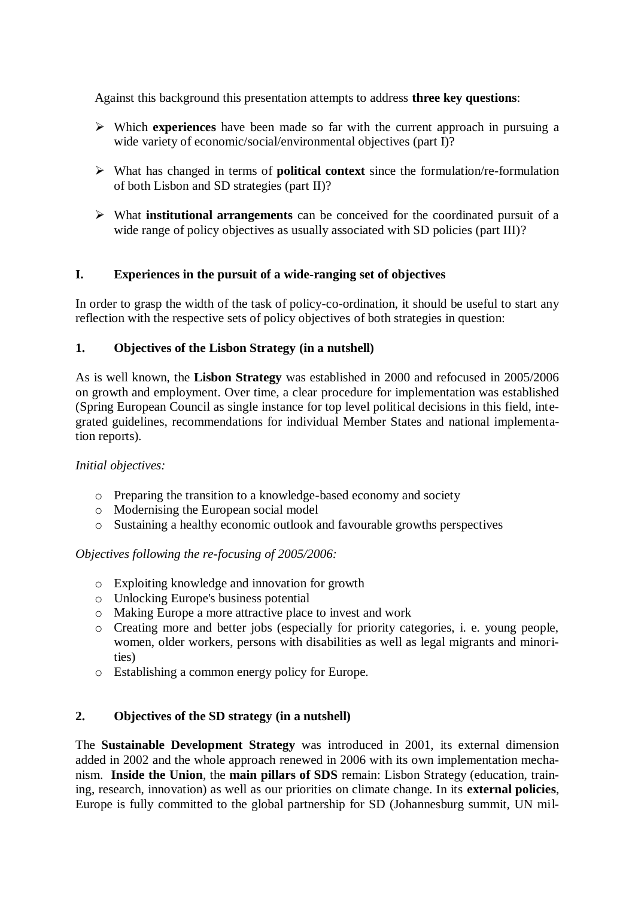Against this background this presentation attempts to address **three key questions**:

- Which **experiences** have been made so far with the current approach in pursuing a wide variety of economic/social/environmental objectives (part I)?
- What has changed in terms of **political context** since the formulation/re-formulation of both Lisbon and SD strategies (part II)?
- What **institutional arrangements** can be conceived for the coordinated pursuit of a wide range of policy objectives as usually associated with SD policies (part III)?

## **I. Experiences in the pursuit of a wide-ranging set of objectives**

In order to grasp the width of the task of policy-co-ordination, it should be useful to start any reflection with the respective sets of policy objectives of both strategies in question:

## **1. Objectives of the Lisbon Strategy (in a nutshell)**

As is well known, the **Lisbon Strategy** was established in 2000 and refocused in 2005/2006 on growth and employment. Over time, a clear procedure for implementation was established (Spring European Council as single instance for top level political decisions in this field, integrated guidelines, recommendations for individual Member States and national implementation reports).

## *Initial objectives:*

- o Preparing the transition to a knowledge-based economy and society
- o Modernising the European social model
- o Sustaining a healthy economic outlook and favourable growths perspectives

## *Objectives following the re-focusing of 2005/2006:*

- o Exploiting knowledge and innovation for growth
- o Unlocking Europe's business potential
- o Making Europe a more attractive place to invest and work
- o Creating more and better jobs (especially for priority categories, i. e. young people, women, older workers, persons with disabilities as well as legal migrants and minorities)
- o Establishing a common energy policy for Europe.

## **2. Objectives of the SD strategy (in a nutshell)**

The **Sustainable Development Strategy** was introduced in 2001, its external dimension added in 2002 and the whole approach renewed in 2006 with its own implementation mechanism. **Inside the Union**, the **main pillars of SDS** remain: Lisbon Strategy (education, training, research, innovation) as well as our priorities on climate change. In its **external policies**, Europe is fully committed to the global partnership for SD (Johannesburg summit, UN mil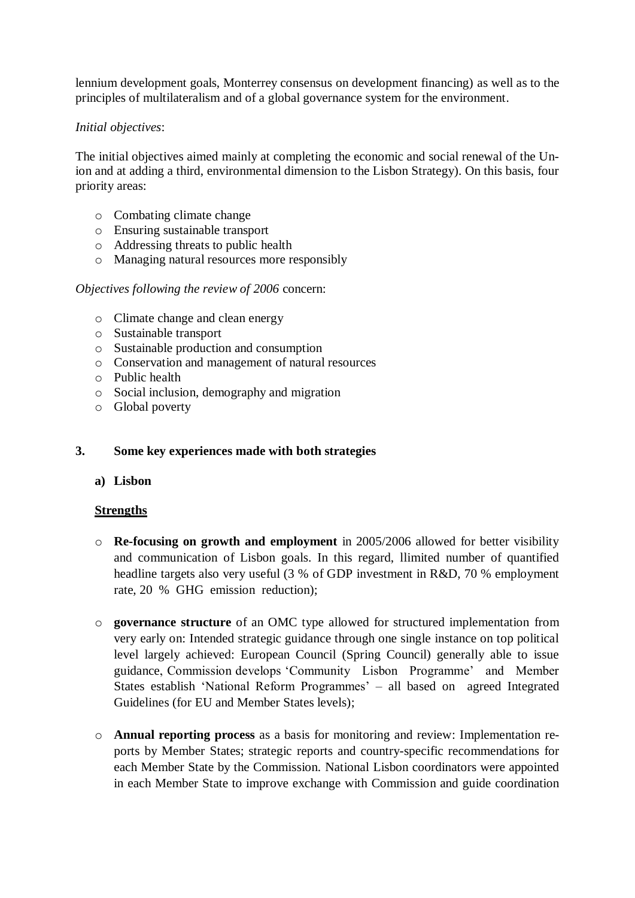lennium development goals, Monterrey consensus on development financing) as well as to the principles of multilateralism and of a global governance system for the environment.

#### *Initial objectives*:

The initial objectives aimed mainly at completing the economic and social renewal of the Union and at adding a third, environmental dimension to the Lisbon Strategy). On this basis, four priority areas:

- o Combating climate change
- o Ensuring sustainable transport
- o Addressing threats to public health
- o Managing natural resources more responsibly

#### *Objectives following the review of 2006* concern:

- o Climate change and clean energy
- o Sustainable transport
- o Sustainable production and consumption
- o Conservation and management of natural resources
- o Public health
- o Social inclusion, demography and migration
- o Global poverty

#### **3. Some key experiences made with both strategies**

#### **a) Lisbon**

#### **Strengths**

- o **Re-focusing on growth and employment** in 2005/2006 allowed for better visibility and communication of Lisbon goals. In this regard, llimited number of quantified headline targets also very useful (3 % of GDP investment in R&D, 70 % employment rate, 20 % GHG emission reduction);
- o **governance structure** of an OMC type allowed for structured implementation from very early on: Intended strategic guidance through one single instance on top political level largely achieved: European Council (Spring Council) generally able to issue guidance, Commission develops 'Community Lisbon Programme' and Member States establish 'National Reform Programmes' – all based on agreed Integrated Guidelines (for EU and Member States levels);
- o **Annual reporting process** as a basis for monitoring and review: Implementation reports by Member States; strategic reports and country-specific recommendations for each Member State by the Commission. National Lisbon coordinators were appointed in each Member State to improve exchange with Commission and guide coordination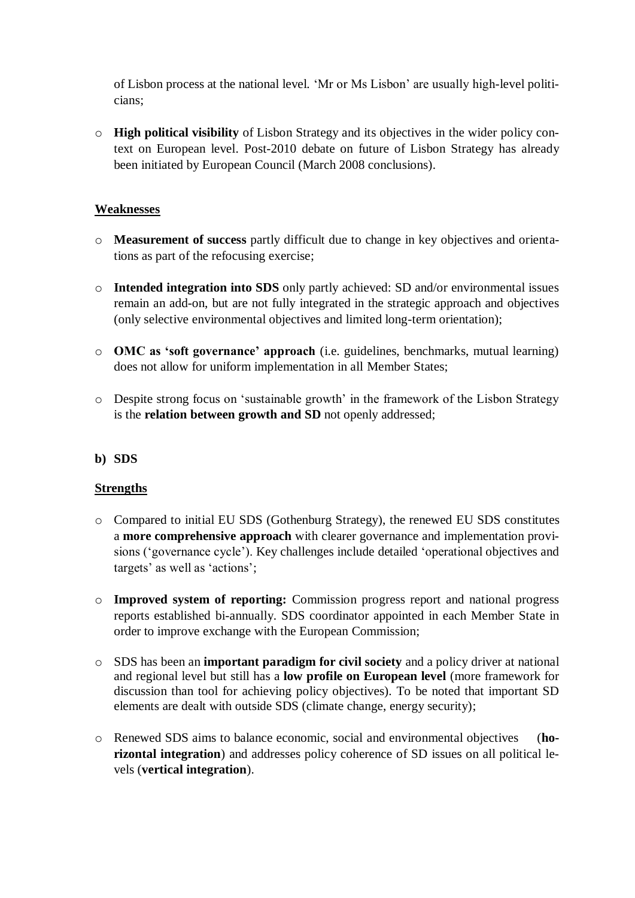of Lisbon process at the national level. 'Mr or Ms Lisbon' are usually high-level politicians;

o **High political visibility** of Lisbon Strategy and its objectives in the wider policy context on European level. Post-2010 debate on future of Lisbon Strategy has already been initiated by European Council (March 2008 conclusions).

## **Weaknesses**

- o **Measurement of success** partly difficult due to change in key objectives and orientations as part of the refocusing exercise;
- o **Intended integration into SDS** only partly achieved: SD and/or environmental issues remain an add-on, but are not fully integrated in the strategic approach and objectives (only selective environmental objectives and limited long-term orientation);
- o **OMC as 'soft governance' approach** (i.e. guidelines, benchmarks, mutual learning) does not allow for uniform implementation in all Member States;
- o Despite strong focus on 'sustainable growth' in the framework of the Lisbon Strategy is the **relation between growth and SD** not openly addressed;

## **b) SDS**

## **Strengths**

- o Compared to initial EU SDS (Gothenburg Strategy), the renewed EU SDS constitutes a **more comprehensive approach** with clearer governance and implementation provisions ('governance cycle'). Key challenges include detailed 'operational objectives and targets' as well as 'actions';
- o **Improved system of reporting:** Commission progress report and national progress reports established bi-annually. SDS coordinator appointed in each Member State in order to improve exchange with the European Commission;
- o SDS has been an **important paradigm for civil society** and a policy driver at national and regional level but still has a **low profile on European level** (more framework for discussion than tool for achieving policy objectives). To be noted that important SD elements are dealt with outside SDS (climate change, energy security);
- o Renewed SDS aims to balance economic, social and environmental objectives (**horizontal integration**) and addresses policy coherence of SD issues on all political levels (**vertical integration**).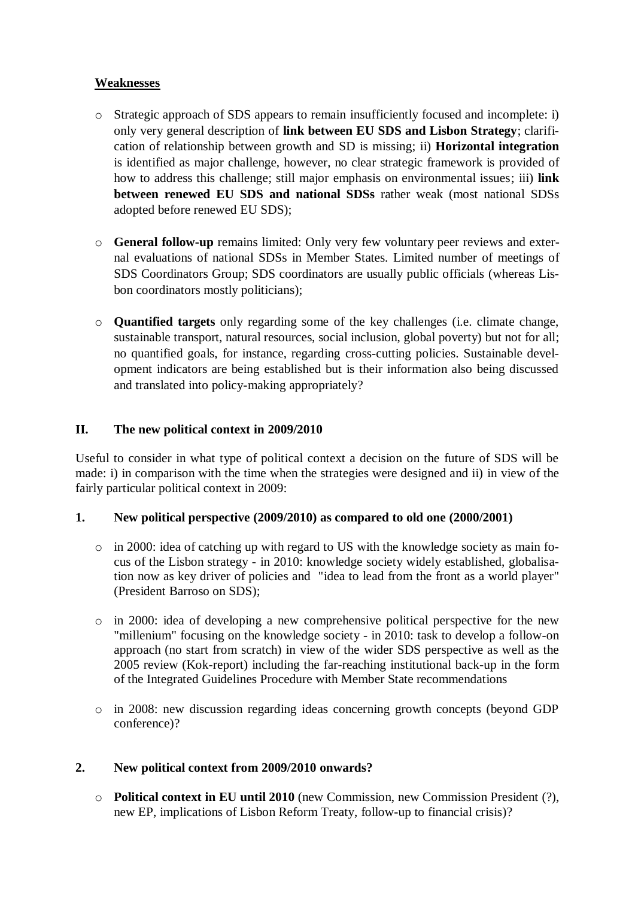## **Weaknesses**

- o Strategic approach of SDS appears to remain insufficiently focused and incomplete: i) only very general description of **link between EU SDS and Lisbon Strategy**; clarification of relationship between growth and SD is missing; ii) **Horizontal integration** is identified as major challenge, however, no clear strategic framework is provided of how to address this challenge; still major emphasis on environmental issues; iii) **link between renewed EU SDS and national SDSs** rather weak (most national SDSs) adopted before renewed EU SDS);
- o **General follow-up** remains limited: Only very few voluntary peer reviews and external evaluations of national SDSs in Member States. Limited number of meetings of SDS Coordinators Group; SDS coordinators are usually public officials (whereas Lisbon coordinators mostly politicians);
- o **Quantified targets** only regarding some of the key challenges (i.e. climate change, sustainable transport, natural resources, social inclusion, global poverty) but not for all; no quantified goals, for instance, regarding cross-cutting policies. Sustainable development indicators are being established but is their information also being discussed and translated into policy-making appropriately?

## **II. The new political context in 2009/2010**

Useful to consider in what type of political context a decision on the future of SDS will be made: i) in comparison with the time when the strategies were designed and ii) in view of the fairly particular political context in 2009:

## **1. New political perspective (2009/2010) as compared to old one (2000/2001)**

- $\circ$  in 2000: idea of catching up with regard to US with the knowledge society as main focus of the Lisbon strategy - in 2010: knowledge society widely established, globalisation now as key driver of policies and "idea to lead from the front as a world player" (President Barroso on SDS);
- o in 2000: idea of developing a new comprehensive political perspective for the new "millenium" focusing on the knowledge society - in 2010: task to develop a follow-on approach (no start from scratch) in view of the wider SDS perspective as well as the 2005 review (Kok-report) including the far-reaching institutional back-up in the form of the Integrated Guidelines Procedure with Member State recommendations
- o in 2008: new discussion regarding ideas concerning growth concepts (beyond GDP conference)?

## **2. New political context from 2009/2010 onwards?**

o **Political context in EU until 2010** (new Commission, new Commission President (?), new EP, implications of Lisbon Reform Treaty, follow-up to financial crisis)?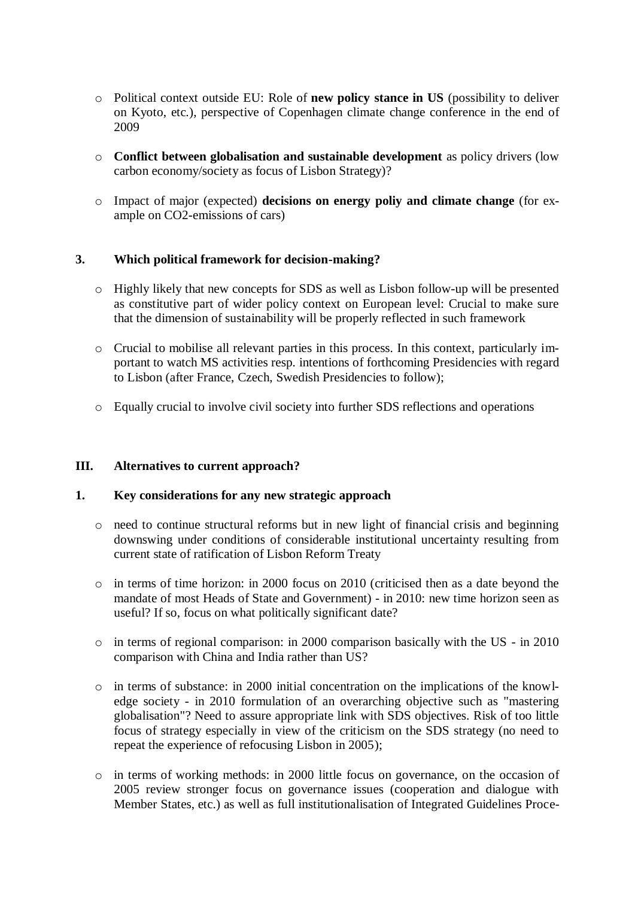- o Political context outside EU: Role of **new policy stance in US** (possibility to deliver on Kyoto, etc.), perspective of Copenhagen climate change conference in the end of 2009
- o **Conflict between globalisation and sustainable development** as policy drivers (low carbon economy/society as focus of Lisbon Strategy)?
- o Impact of major (expected) **decisions on energy poliy and climate change** (for example on CO2-emissions of cars)

#### **3. Which political framework for decision-making?**

- o Highly likely that new concepts for SDS as well as Lisbon follow-up will be presented as constitutive part of wider policy context on European level: Crucial to make sure that the dimension of sustainability will be properly reflected in such framework
- o Crucial to mobilise all relevant parties in this process. In this context, particularly important to watch MS activities resp. intentions of forthcoming Presidencies with regard to Lisbon (after France, Czech, Swedish Presidencies to follow);
- o Equally crucial to involve civil society into further SDS reflections and operations

#### **III. Alternatives to current approach?**

#### **1. Key considerations for any new strategic approach**

- o need to continue structural reforms but in new light of financial crisis and beginning downswing under conditions of considerable institutional uncertainty resulting from current state of ratification of Lisbon Reform Treaty
- $\circ$  in terms of time horizon: in 2000 focus on 2010 (criticised then as a date beyond the mandate of most Heads of State and Government) - in 2010: new time horizon seen as useful? If so, focus on what politically significant date?
- o in terms of regional comparison: in 2000 comparison basically with the US in 2010 comparison with China and India rather than US?
- $\circ$  in terms of substance: in 2000 initial concentration on the implications of the knowledge society - in 2010 formulation of an overarching objective such as "mastering globalisation"? Need to assure appropriate link with SDS objectives. Risk of too little focus of strategy especially in view of the criticism on the SDS strategy (no need to repeat the experience of refocusing Lisbon in 2005);
- o in terms of working methods: in 2000 little focus on governance, on the occasion of 2005 review stronger focus on governance issues (cooperation and dialogue with Member States, etc.) as well as full institutionalisation of Integrated Guidelines Proce-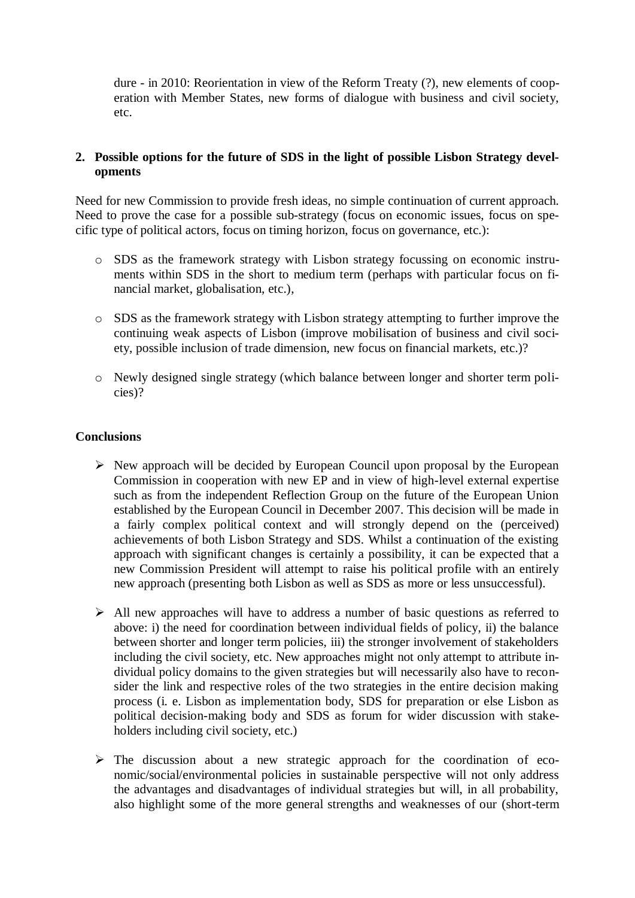dure - in 2010: Reorientation in view of the Reform Treaty (?), new elements of cooperation with Member States, new forms of dialogue with business and civil society, etc.

#### **2. Possible options for the future of SDS in the light of possible Lisbon Strategy developments**

Need for new Commission to provide fresh ideas, no simple continuation of current approach. Need to prove the case for a possible sub-strategy (focus on economic issues, focus on specific type of political actors, focus on timing horizon, focus on governance, etc.):

- SDS as the framework strategy with Lisbon strategy focussing on economic instruments within SDS in the short to medium term (perhaps with particular focus on financial market, globalisation, etc.),
- o SDS as the framework strategy with Lisbon strategy attempting to further improve the continuing weak aspects of Lisbon (improve mobilisation of business and civil society, possible inclusion of trade dimension, new focus on financial markets, etc.)?
- o Newly designed single strategy (which balance between longer and shorter term policies)?

#### **Conclusions**

- $\triangleright$  New approach will be decided by European Council upon proposal by the European Commission in cooperation with new EP and in view of high-level external expertise such as from the independent Reflection Group on the future of the European Union established by the European Council in December 2007. This decision will be made in a fairly complex political context and will strongly depend on the (perceived) achievements of both Lisbon Strategy and SDS. Whilst a continuation of the existing approach with significant changes is certainly a possibility, it can be expected that a new Commission President will attempt to raise his political profile with an entirely new approach (presenting both Lisbon as well as SDS as more or less unsuccessful).
- $\triangleright$  All new approaches will have to address a number of basic questions as referred to above: i) the need for coordination between individual fields of policy, ii) the balance between shorter and longer term policies, iii) the stronger involvement of stakeholders including the civil society, etc. New approaches might not only attempt to attribute individual policy domains to the given strategies but will necessarily also have to reconsider the link and respective roles of the two strategies in the entire decision making process (i. e. Lisbon as implementation body, SDS for preparation or else Lisbon as political decision-making body and SDS as forum for wider discussion with stakeholders including civil society, etc.)
- $\triangleright$  The discussion about a new strategic approach for the coordination of economic/social/environmental policies in sustainable perspective will not only address the advantages and disadvantages of individual strategies but will, in all probability, also highlight some of the more general strengths and weaknesses of our (short-term